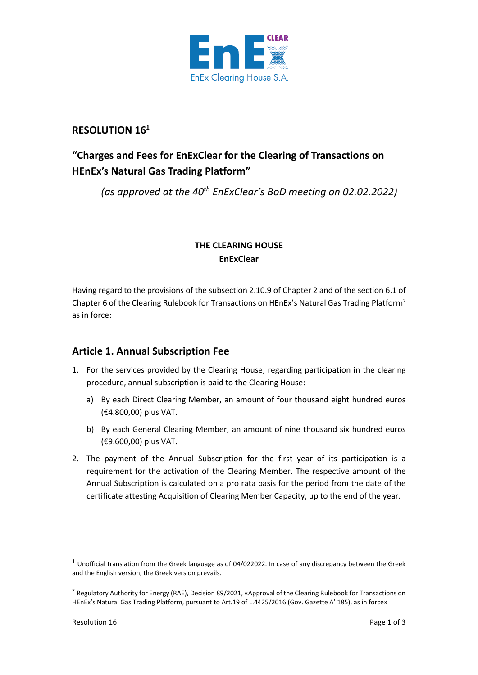

# **RESOLUTION 16 1**

# **"Charges and Fees for EnExClear for the Clearing of Transactions on HEnEx's Natural Gas Trading Platform"**

*(as approved at the 40th EnExClear's BoD meeting on 02.02.2022)*

#### **THE CLEARING HOUSE EnExClear**

Having regard to the provisions of the subsection 2.10.9 of Chapter 2 and of the section 6.1 of Chapter 6 of the Clearing Rulebook for Transactions on HEnEx's Natural Gas Trading Platform<sup>2</sup> as in force:

## **Article 1. Annual Subscription Fee**

- 1. For the services provided by the Clearing House, regarding participation in the clearing procedure, annual subscription is paid to the Clearing House:
	- a) By each Direct Clearing Member, an amount of four thousand eight hundred euros (€4.800,00) plus VAT.
	- b) By each General Clearing Member, an amount of nine thousand six hundred euros (€9.600,00) plus VAT.
- 2. The payment of the Annual Subscription for the first year of its participation is a requirement for the activation of the Clearing Member. The respective amount of the Annual Subscription is calculated on a pro rata basis for the period from the date of the certificate attesting Acquisition of Clearing Member Capacity, up to the end of the year.

 $1$  Unofficial translation from the Greek language as of 04/022022. In case of any discrepancy between the Greek and the English version, the Greek version prevails.

<sup>&</sup>lt;sup>2</sup> Regulatory Authority for Energy (RAE), Decision 89/2021, «Approval of the Clearing Rulebook for Transactions on HEnEx's Natural Gas Trading Platform, pursuant to Art.19 of L.4425/2016 (Gov. Gazette Α' 185), as in force»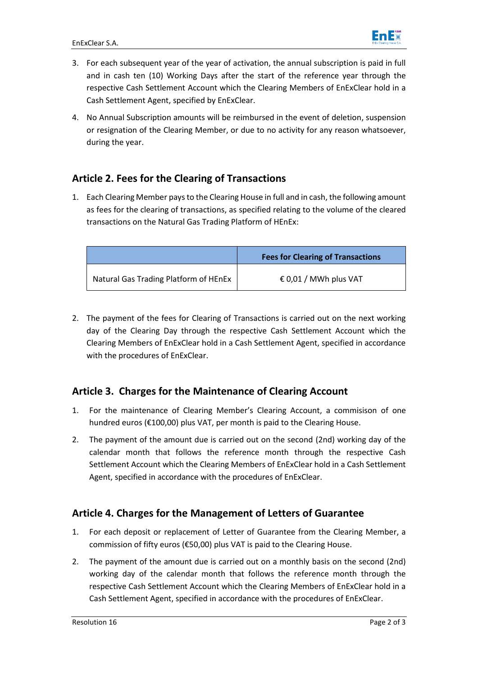

- 3. For each subsequent year of the year of activation, the annual subscription is paid in full and in cash ten (10) Working Days after the start of the reference year through the respective Cash Settlement Account which the Clearing Members of EnExClear hold in a Cash Settlement Agent, specified by EnExClear.
- 4. No Annual Subscription amounts will be reimbursed in the event of deletion, suspension or resignation of the Clearing Member, or due to no activity for any reason whatsoever, during the year.

## **Article 2. Fees for the Clearing of Transactions**

1. Each Clearing Member pays to the Clearing House in full and in cash, the following amount as fees for the clearing of transactions, as specified relating to the volume of the cleared transactions on the Natural Gas Trading Platform of HEnEx:

|                                       | <b>Fees for Clearing of Transactions</b> |
|---------------------------------------|------------------------------------------|
| Natural Gas Trading Platform of HEnEx | € 0,01 / MWh plus VAT                    |

2. The payment of the fees for Clearing of Transactions is carried out on the next working day of the Clearing Day through the respective Cash Settlement Account which the Clearing Members of EnExClear hold in a Cash Settlement Agent, specified in accordance with the procedures of EnExClear.

#### **Article 3. Charges for the Maintenance of Clearing Account**

- 1. For the maintenance of Clearing Member's Clearing Account, a commisison of one hundred euros (€100,00) plus VAT, per month is paid to the Clearing House.
- 2. The payment of the amount due is carried out on the second (2nd) working day of the calendar month that follows the reference month through the respective Cash Settlement Account which the Clearing Members of EnExClear hold in a Cash Settlement Agent, specified in accordance with the procedures of EnExClear.

#### **Article 4. Charges for the Management of Letters of Guarantee**

- 1. For each deposit or replacement of Letter of Guarantee from the Clearing Member, a commission of fifty euros (€50,00) plus VAT is paid to the Clearing House.
- 2. The payment of the amount due is carried out on a monthly basis on the second (2nd) working day of the calendar month that follows the reference month through the respective Cash Settlement Account which the Clearing Members of EnExClear hold in a Cash Settlement Agent, specified in accordance with the procedures of EnExClear.